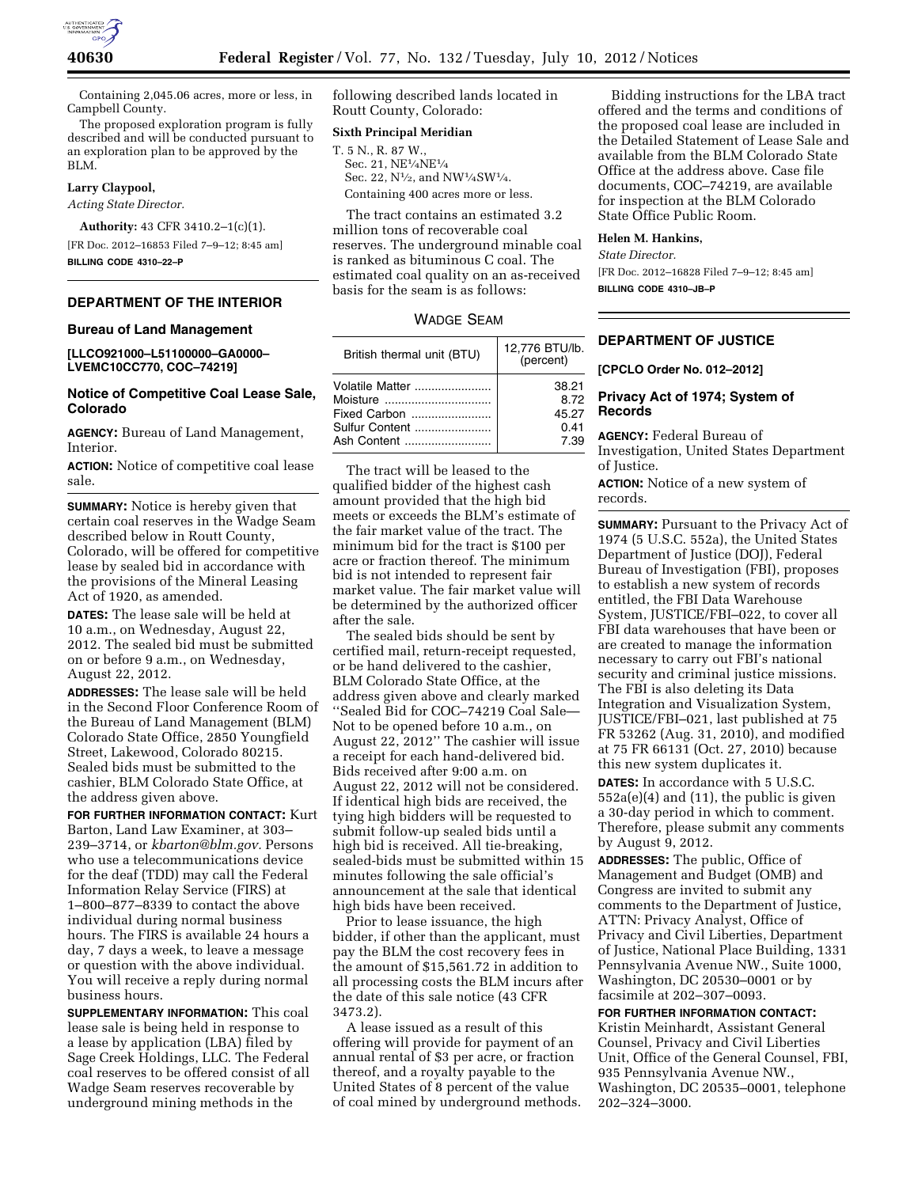

Containing 2,045.06 acres, more or less, in Campbell County.

The proposed exploration program is fully described and will be conducted pursuant to an exploration plan to be approved by the BLM.

# **Larry Claypool,**

*Acting State Director.* 

**Authority:** 43 CFR 3410.2–1(c)(1).

[FR Doc. 2012–16853 Filed 7–9–12; 8:45 am] **BILLING CODE 4310–22–P** 

# **DEPARTMENT OF THE INTERIOR**

#### **Bureau of Land Management**

**[LLCO921000–L51100000–GA0000– LVEMC10CC770, COC–74219]** 

# **Notice of Competitive Coal Lease Sale, Colorado**

**AGENCY:** Bureau of Land Management, Interior.

**ACTION:** Notice of competitive coal lease sale.

**SUMMARY:** Notice is hereby given that certain coal reserves in the Wadge Seam described below in Routt County, Colorado, will be offered for competitive lease by sealed bid in accordance with the provisions of the Mineral Leasing Act of 1920, as amended.

**DATES:** The lease sale will be held at 10 a.m., on Wednesday, August 22, 2012. The sealed bid must be submitted on or before 9 a.m., on Wednesday, August 22, 2012.

**ADDRESSES:** The lease sale will be held in the Second Floor Conference Room of the Bureau of Land Management (BLM) Colorado State Office, 2850 Youngfield Street, Lakewood, Colorado 80215. Sealed bids must be submitted to the cashier, BLM Colorado State Office, at the address given above.

**FOR FURTHER INFORMATION CONTACT:** Kurt Barton, Land Law Examiner, at 303– 239–3714, or *[kbarton@blm.gov.](mailto:kbarton@blm.gov)* Persons who use a telecommunications device for the deaf (TDD) may call the Federal Information Relay Service (FIRS) at 1–800–877–8339 to contact the above individual during normal business hours. The FIRS is available 24 hours a day, 7 days a week, to leave a message or question with the above individual. You will receive a reply during normal business hours.

**SUPPLEMENTARY INFORMATION:** This coal lease sale is being held in response to a lease by application (LBA) filed by Sage Creek Holdings, LLC. The Federal coal reserves to be offered consist of all Wadge Seam reserves recoverable by underground mining methods in the

following described lands located in Routt County, Colorado:

### **Sixth Principal Meridian**

T. 5 N., R. 87 W., Sec. 21, NE1⁄4NE1⁄4 Sec. 22, N1⁄2, and NW1⁄4SW1⁄4. Containing 400 acres more or less.

The tract contains an estimated 3.2 million tons of recoverable coal reserves. The underground minable coal is ranked as bituminous C coal. The estimated coal quality on an as-received basis for the seam is as follows:

| Wadge Seam |  |
|------------|--|
|------------|--|

| British thermal unit (BTU) | 12,776 BTU/lb.<br>(percent) |
|----------------------------|-----------------------------|
| Volatile Matter            | 38.21                       |
| Moisture                   | 8.72                        |
| Fixed Carbon               | 45.27                       |
| Sulfur Content             | 0.41                        |
| Ash Content                | 7.39                        |

The tract will be leased to the qualified bidder of the highest cash amount provided that the high bid meets or exceeds the BLM's estimate of the fair market value of the tract. The minimum bid for the tract is \$100 per acre or fraction thereof. The minimum bid is not intended to represent fair market value. The fair market value will be determined by the authorized officer after the sale.

The sealed bids should be sent by certified mail, return-receipt requested, or be hand delivered to the cashier, BLM Colorado State Office, at the address given above and clearly marked ''Sealed Bid for COC–74219 Coal Sale— Not to be opened before 10 a.m., on August 22, 2012'' The cashier will issue a receipt for each hand-delivered bid. Bids received after 9:00 a.m. on August 22, 2012 will not be considered. If identical high bids are received, the tying high bidders will be requested to submit follow-up sealed bids until a high bid is received. All tie-breaking, sealed-bids must be submitted within 15 minutes following the sale official's announcement at the sale that identical high bids have been received.

Prior to lease issuance, the high bidder, if other than the applicant, must pay the BLM the cost recovery fees in the amount of \$15,561.72 in addition to all processing costs the BLM incurs after the date of this sale notice (43 CFR 3473.2).

A lease issued as a result of this offering will provide for payment of an annual rental of \$3 per acre, or fraction thereof, and a royalty payable to the United States of 8 percent of the value of coal mined by underground methods.

Bidding instructions for the LBA tract offered and the terms and conditions of the proposed coal lease are included in the Detailed Statement of Lease Sale and available from the BLM Colorado State Office at the address above. Case file documents, COC–74219, are available for inspection at the BLM Colorado State Office Public Room.

### **Helen M. Hankins,**

*State Director.* 

[FR Doc. 2012–16828 Filed 7–9–12; 8:45 am] **BILLING CODE 4310–JB–P** 

# **DEPARTMENT OF JUSTICE**

**[CPCLO Order No. 012–2012]** 

### **Privacy Act of 1974; System of Records**

**AGENCY:** Federal Bureau of Investigation, United States Department of Justice.

**ACTION:** Notice of a new system of records.

**SUMMARY:** Pursuant to the Privacy Act of 1974 (5 U.S.C. 552a), the United States Department of Justice (DOJ), Federal Bureau of Investigation (FBI), proposes to establish a new system of records entitled, the FBI Data Warehouse System, JUSTICE/FBI–022, to cover all FBI data warehouses that have been or are created to manage the information necessary to carry out FBI's national security and criminal justice missions. The FBI is also deleting its Data Integration and Visualization System, JUSTICE/FBI–021, last published at 75 FR 53262 (Aug. 31, 2010), and modified at 75 FR 66131 (Oct. 27, 2010) because this new system duplicates it.

**DATES:** In accordance with 5 U.S.C. 552a(e)(4) and (11), the public is given a 30-day period in which to comment. Therefore, please submit any comments by August 9, 2012.

**ADDRESSES:** The public, Office of Management and Budget (OMB) and Congress are invited to submit any comments to the Department of Justice, ATTN: Privacy Analyst, Office of Privacy and Civil Liberties, Department of Justice, National Place Building, 1331 Pennsylvania Avenue NW., Suite 1000, Washington, DC 20530–0001 or by facsimile at 202–307–0093.

**FOR FURTHER INFORMATION CONTACT:** 

Kristin Meinhardt, Assistant General Counsel, Privacy and Civil Liberties Unit, Office of the General Counsel, FBI, 935 Pennsylvania Avenue NW., Washington, DC 20535–0001, telephone 202–324–3000.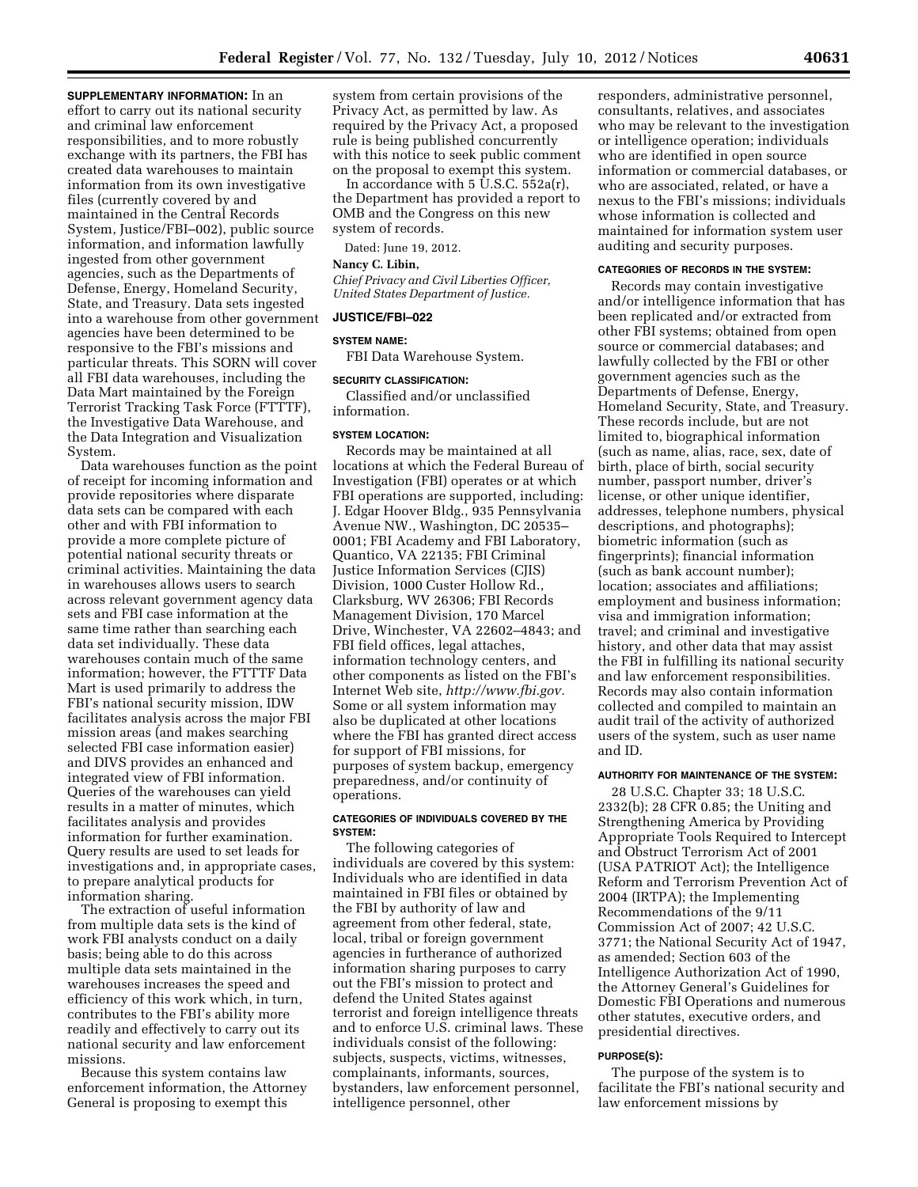**SUPPLEMENTARY INFORMATION:** In an effort to carry out its national security and criminal law enforcement responsibilities, and to more robustly exchange with its partners, the FBI has created data warehouses to maintain information from its own investigative files (currently covered by and maintained in the Central Records System, Justice/FBI–002), public source information, and information lawfully ingested from other government agencies, such as the Departments of Defense, Energy, Homeland Security, State, and Treasury. Data sets ingested into a warehouse from other government agencies have been determined to be responsive to the FBI's missions and particular threats. This SORN will cover all FBI data warehouses, including the Data Mart maintained by the Foreign Terrorist Tracking Task Force (FTTTF), the Investigative Data Warehouse, and the Data Integration and Visualization System.

Data warehouses function as the point of receipt for incoming information and provide repositories where disparate data sets can be compared with each other and with FBI information to provide a more complete picture of potential national security threats or criminal activities. Maintaining the data in warehouses allows users to search across relevant government agency data sets and FBI case information at the same time rather than searching each data set individually. These data warehouses contain much of the same information; however, the FTTTF Data Mart is used primarily to address the FBI's national security mission, IDW facilitates analysis across the major FBI mission areas (and makes searching selected FBI case information easier) and DIVS provides an enhanced and integrated view of FBI information. Queries of the warehouses can yield results in a matter of minutes, which facilitates analysis and provides information for further examination. Query results are used to set leads for investigations and, in appropriate cases, to prepare analytical products for information sharing.

The extraction of useful information from multiple data sets is the kind of work FBI analysts conduct on a daily basis; being able to do this across multiple data sets maintained in the warehouses increases the speed and efficiency of this work which, in turn, contributes to the FBI's ability more readily and effectively to carry out its national security and law enforcement missions.

Because this system contains law enforcement information, the Attorney General is proposing to exempt this

system from certain provisions of the Privacy Act, as permitted by law. As required by the Privacy Act, a proposed rule is being published concurrently with this notice to seek public comment on the proposal to exempt this system.

In accordance with 5 U.S.C. 552a(r), the Department has provided a report to OMB and the Congress on this new system of records.

Dated: June 19, 2012.

# **Nancy C. Libin,**

*Chief Privacy and Civil Liberties Officer, United States Department of Justice.* 

### **JUSTICE/FBI–022**

#### **SYSTEM NAME:**

FBI Data Warehouse System.

## **SECURITY CLASSIFICATION:**

Classified and/or unclassified information.

## **SYSTEM LOCATION:**

Records may be maintained at all locations at which the Federal Bureau of Investigation (FBI) operates or at which FBI operations are supported, including: J. Edgar Hoover Bldg., 935 Pennsylvania Avenue NW., Washington, DC 20535– 0001; FBI Academy and FBI Laboratory, Quantico, VA 22135; FBI Criminal Justice Information Services (CJIS) Division, 1000 Custer Hollow Rd., Clarksburg, WV 26306; FBI Records Management Division, 170 Marcel Drive, Winchester, VA 22602–4843; and FBI field offices, legal attaches, information technology centers, and other components as listed on the FBI's Internet Web site, *[http://www.fbi.gov.](http://www.fbi.gov)*  Some or all system information may also be duplicated at other locations where the FBI has granted direct access for support of FBI missions, for purposes of system backup, emergency preparedness, and/or continuity of operations.

### **CATEGORIES OF INDIVIDUALS COVERED BY THE SYSTEM:**

The following categories of individuals are covered by this system: Individuals who are identified in data maintained in FBI files or obtained by the FBI by authority of law and agreement from other federal, state, local, tribal or foreign government agencies in furtherance of authorized information sharing purposes to carry out the FBI's mission to protect and defend the United States against terrorist and foreign intelligence threats and to enforce U.S. criminal laws. These individuals consist of the following: subjects, suspects, victims, witnesses, complainants, informants, sources, bystanders, law enforcement personnel, intelligence personnel, other

responders, administrative personnel, consultants, relatives, and associates who may be relevant to the investigation or intelligence operation; individuals who are identified in open source information or commercial databases, or who are associated, related, or have a nexus to the FBI's missions; individuals whose information is collected and maintained for information system user auditing and security purposes.

#### **CATEGORIES OF RECORDS IN THE SYSTEM:**

Records may contain investigative and/or intelligence information that has been replicated and/or extracted from other FBI systems; obtained from open source or commercial databases; and lawfully collected by the FBI or other government agencies such as the Departments of Defense, Energy, Homeland Security, State, and Treasury. These records include, but are not limited to, biographical information (such as name, alias, race, sex, date of birth, place of birth, social security number, passport number, driver's license, or other unique identifier, addresses, telephone numbers, physical descriptions, and photographs); biometric information (such as fingerprints); financial information (such as bank account number); location; associates and affiliations; employment and business information; visa and immigration information; travel; and criminal and investigative history, and other data that may assist the FBI in fulfilling its national security and law enforcement responsibilities. Records may also contain information collected and compiled to maintain an audit trail of the activity of authorized users of the system, such as user name and ID.

### **AUTHORITY FOR MAINTENANCE OF THE SYSTEM:**

28 U.S.C. Chapter 33; 18 U.S.C. 2332(b); 28 CFR 0.85; the Uniting and Strengthening America by Providing Appropriate Tools Required to Intercept and Obstruct Terrorism Act of 2001 (USA PATRIOT Act); the Intelligence Reform and Terrorism Prevention Act of 2004 (IRTPA); the Implementing Recommendations of the 9/11 Commission Act of 2007; 42 U.S.C. 3771; the National Security Act of 1947, as amended; Section 603 of the Intelligence Authorization Act of 1990, the Attorney General's Guidelines for Domestic FBI Operations and numerous other statutes, executive orders, and presidential directives.

#### **PURPOSE(S):**

The purpose of the system is to facilitate the FBI's national security and law enforcement missions by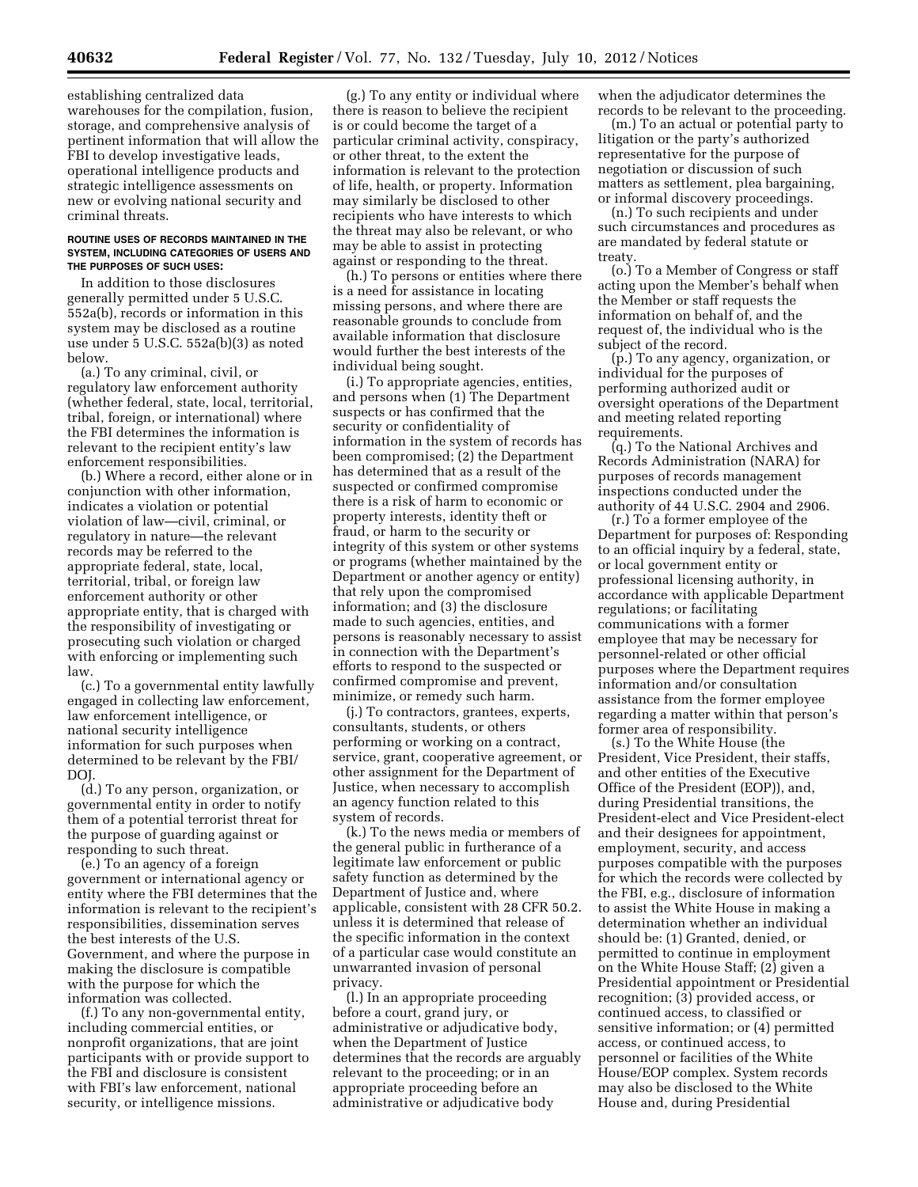establishing centralized data warehouses for the compilation, fusion, storage, and comprehensive analysis of pertinent information that will allow the FBI to develop investigative leads, operational intelligence products and strategic intelligence assessments on new or evolving national security and criminal threats.

#### **ROUTINE USES OF RECORDS MAINTAINED IN THE SYSTEM, INCLUDING CATEGORIES OF USERS AND THE PURPOSES OF SUCH USES:**

In addition to those disclosures generally permitted under 5 U.S.C. 552a(b), records or information in this system may be disclosed as a routine use under 5 U.S.C. 552a(b)(3) as noted below.

(a.) To any criminal, civil, or regulatory law enforcement authority (whether federal, state, local, territorial, tribal, foreign, or international) where the FBI determines the information is relevant to the recipient entity's law enforcement responsibilities.

(b.) Where a record, either alone or in conjunction with other information, indicates a violation or potential violation of law—civil, criminal, or regulatory in nature—the relevant records may be referred to the appropriate federal, state, local, territorial, tribal, or foreign law enforcement authority or other appropriate entity, that is charged with the responsibility of investigating or prosecuting such violation or charged with enforcing or implementing such law.

(c.) To a governmental entity lawfully engaged in collecting law enforcement, law enforcement intelligence, or national security intelligence information for such purposes when determined to be relevant by the FBI/ DOJ.

(d.) To any person, organization, or governmental entity in order to notify them of a potential terrorist threat for the purpose of guarding against or responding to such threat.

(e.) To an agency of a foreign government or international agency or entity where the FBI determines that the information is relevant to the recipient's responsibilities, dissemination serves the best interests of the U.S. Government, and where the purpose in making the disclosure is compatible with the purpose for which the information was collected.

(f.) To any non-governmental entity, including commercial entities, or nonprofit organizations, that are joint participants with or provide support to the FBI and disclosure is consistent with FBI's law enforcement, national security, or intelligence missions.

(g.) To any entity or individual where there is reason to believe the recipient is or could become the target of a particular criminal activity, conspiracy, or other threat, to the extent the information is relevant to the protection of life, health, or property. Information may similarly be disclosed to other recipients who have interests to which the threat may also be relevant, or who may be able to assist in protecting against or responding to the threat.

(h.) To persons or entities where there is a need for assistance in locating missing persons, and where there are reasonable grounds to conclude from available information that disclosure would further the best interests of the individual being sought.

(i.) To appropriate agencies, entities, and persons when (1) The Department suspects or has confirmed that the security or confidentiality of information in the system of records has been compromised; (2) the Department has determined that as a result of the suspected or confirmed compromise there is a risk of harm to economic or property interests, identity theft or fraud, or harm to the security or integrity of this system or other systems or programs (whether maintained by the Department or another agency or entity) that rely upon the compromised information; and (3) the disclosure made to such agencies, entities, and persons is reasonably necessary to assist in connection with the Department's efforts to respond to the suspected or confirmed compromise and prevent, minimize, or remedy such harm.

(j.) To contractors, grantees, experts, consultants, students, or others performing or working on a contract, service, grant, cooperative agreement, or other assignment for the Department of Justice, when necessary to accomplish an agency function related to this system of records.

(k.) To the news media or members of the general public in furtherance of a legitimate law enforcement or public safety function as determined by the Department of Justice and, where applicable, consistent with 28 CFR 50.2. unless it is determined that release of the specific information in the context of a particular case would constitute an unwarranted invasion of personal privacy.

(l.) In an appropriate proceeding before a court, grand jury, or administrative or adjudicative body, when the Department of Justice determines that the records are arguably relevant to the proceeding; or in an appropriate proceeding before an administrative or adjudicative body

when the adjudicator determines the records to be relevant to the proceeding.

(m.) To an actual or potential party to litigation or the party's authorized representative for the purpose of negotiation or discussion of such matters as settlement, plea bargaining, or informal discovery proceedings.

(n.) To such recipients and under such circumstances and procedures as are mandated by federal statute or treaty.

(o.) To a Member of Congress or staff acting upon the Member's behalf when the Member or staff requests the information on behalf of, and the request of, the individual who is the subject of the record.

(p.) To any agency, organization, or individual for the purposes of performing authorized audit or oversight operations of the Department and meeting related reporting requirements.

(q.) To the National Archives and Records Administration (NARA) for purposes of records management inspections conducted under the authority of 44 U.S.C. 2904 and 2906.

(r.) To a former employee of the Department for purposes of: Responding to an official inquiry by a federal, state, or local government entity or professional licensing authority, in accordance with applicable Department regulations; or facilitating communications with a former employee that may be necessary for personnel-related or other official purposes where the Department requires information and/or consultation assistance from the former employee regarding a matter within that person's former area of responsibility.

(s.) To the White House (the President, Vice President, their staffs, and other entities of the Executive Office of the President (EOP)), and, during Presidential transitions, the President-elect and Vice President-elect and their designees for appointment, employment, security, and access purposes compatible with the purposes for which the records were collected by the FBI, e.g., disclosure of information to assist the White House in making a determination whether an individual should be: (1) Granted, denied, or permitted to continue in employment on the White House Staff; (2) given a Presidential appointment or Presidential recognition; (3) provided access, or continued access, to classified or sensitive information; or (4) permitted access, or continued access, to personnel or facilities of the White House/EOP complex. System records may also be disclosed to the White House and, during Presidential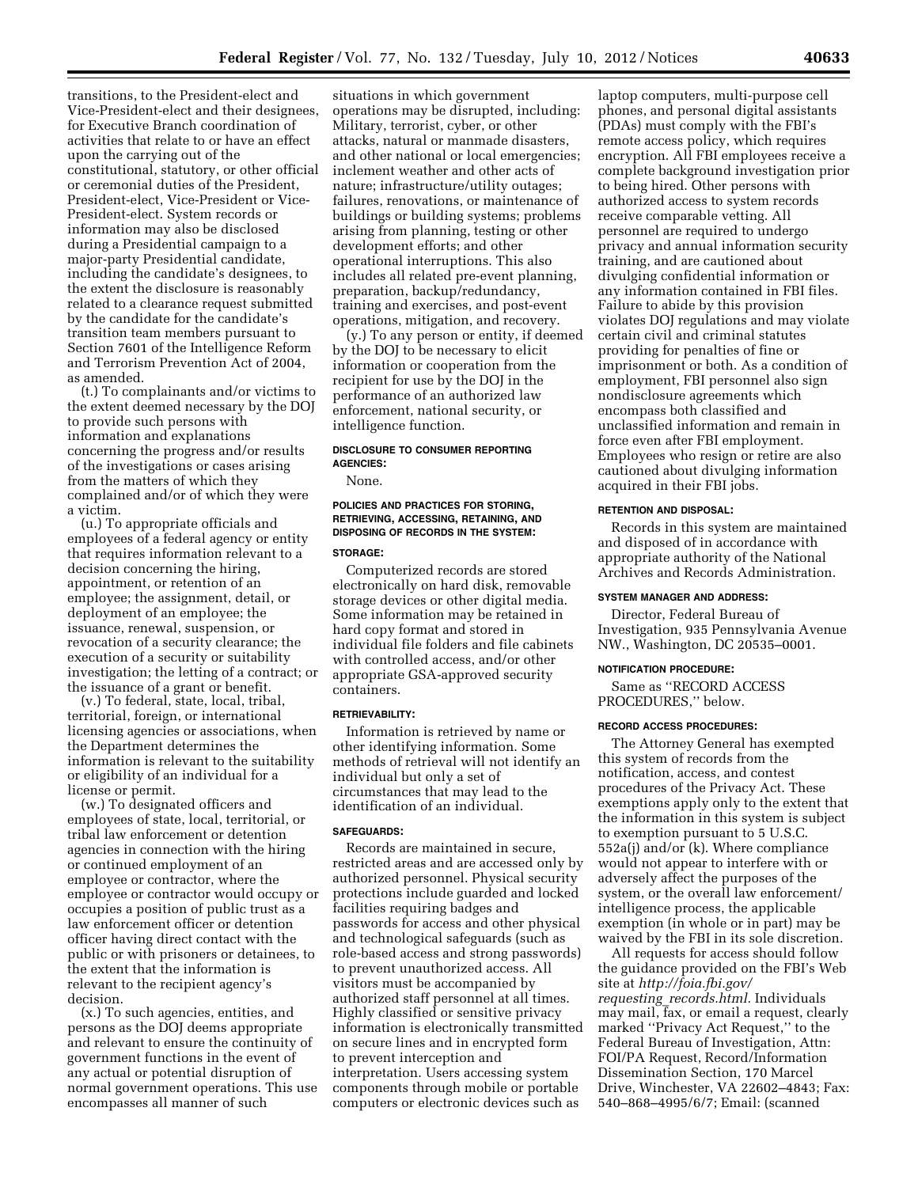transitions, to the President-elect and Vice-President-elect and their designees, for Executive Branch coordination of activities that relate to or have an effect upon the carrying out of the constitutional, statutory, or other official or ceremonial duties of the President, President-elect, Vice-President or Vice-President-elect. System records or information may also be disclosed during a Presidential campaign to a major-party Presidential candidate, including the candidate's designees, to the extent the disclosure is reasonably related to a clearance request submitted by the candidate for the candidate's transition team members pursuant to Section 7601 of the Intelligence Reform and Terrorism Prevention Act of 2004, as amended.

(t.) To complainants and/or victims to the extent deemed necessary by the DOJ to provide such persons with information and explanations concerning the progress and/or results of the investigations or cases arising from the matters of which they complained and/or of which they were a victim.

(u.) To appropriate officials and employees of a federal agency or entity that requires information relevant to a decision concerning the hiring, appointment, or retention of an employee; the assignment, detail, or deployment of an employee; the issuance, renewal, suspension, or revocation of a security clearance; the execution of a security or suitability investigation; the letting of a contract; or the issuance of a grant or benefit.

(v.) To federal, state, local, tribal, territorial, foreign, or international licensing agencies or associations, when the Department determines the information is relevant to the suitability or eligibility of an individual for a license or permit.

(w.) To designated officers and employees of state, local, territorial, or tribal law enforcement or detention agencies in connection with the hiring or continued employment of an employee or contractor, where the employee or contractor would occupy or occupies a position of public trust as a law enforcement officer or detention officer having direct contact with the public or with prisoners or detainees, to the extent that the information is relevant to the recipient agency's decision.

(x.) To such agencies, entities, and persons as the DOJ deems appropriate and relevant to ensure the continuity of government functions in the event of any actual or potential disruption of normal government operations. This use encompasses all manner of such

situations in which government operations may be disrupted, including: Military, terrorist, cyber, or other attacks, natural or manmade disasters, and other national or local emergencies; inclement weather and other acts of nature; infrastructure/utility outages; failures, renovations, or maintenance of buildings or building systems; problems arising from planning, testing or other development efforts; and other operational interruptions. This also includes all related pre-event planning, preparation, backup/redundancy, training and exercises, and post-event operations, mitigation, and recovery.

(y.) To any person or entity, if deemed by the DOJ to be necessary to elicit information or cooperation from the recipient for use by the DOJ in the performance of an authorized law enforcement, national security, or intelligence function.

### **DISCLOSURE TO CONSUMER REPORTING AGENCIES:**

None.

### **POLICIES AND PRACTICES FOR STORING, RETRIEVING, ACCESSING, RETAINING, AND DISPOSING OF RECORDS IN THE SYSTEM:**

#### **STORAGE:**

Computerized records are stored electronically on hard disk, removable storage devices or other digital media. Some information may be retained in hard copy format and stored in individual file folders and file cabinets with controlled access, and/or other appropriate GSA-approved security containers.

#### **RETRIEVABILITY:**

Information is retrieved by name or other identifying information. Some methods of retrieval will not identify an individual but only a set of circumstances that may lead to the identification of an individual.

### **SAFEGUARDS:**

Records are maintained in secure, restricted areas and are accessed only by authorized personnel. Physical security protections include guarded and locked facilities requiring badges and passwords for access and other physical and technological safeguards (such as role-based access and strong passwords) to prevent unauthorized access. All visitors must be accompanied by authorized staff personnel at all times. Highly classified or sensitive privacy information is electronically transmitted on secure lines and in encrypted form to prevent interception and interpretation. Users accessing system components through mobile or portable computers or electronic devices such as

laptop computers, multi-purpose cell phones, and personal digital assistants (PDAs) must comply with the FBI's remote access policy, which requires encryption. All FBI employees receive a complete background investigation prior to being hired. Other persons with authorized access to system records receive comparable vetting. All personnel are required to undergo privacy and annual information security training, and are cautioned about divulging confidential information or any information contained in FBI files. Failure to abide by this provision violates DOJ regulations and may violate certain civil and criminal statutes providing for penalties of fine or imprisonment or both. As a condition of employment, FBI personnel also sign nondisclosure agreements which encompass both classified and unclassified information and remain in force even after FBI employment. Employees who resign or retire are also cautioned about divulging information acquired in their FBI jobs.

#### **RETENTION AND DISPOSAL:**

Records in this system are maintained and disposed of in accordance with appropriate authority of the National Archives and Records Administration.

#### **SYSTEM MANAGER AND ADDRESS:**

Director, Federal Bureau of Investigation, 935 Pennsylvania Avenue NW., Washington, DC 20535–0001.

#### **NOTIFICATION PROCEDURE:**

Same as ''RECORD ACCESS PROCEDURES,'' below.

#### **RECORD ACCESS PROCEDURES:**

The Attorney General has exempted this system of records from the notification, access, and contest procedures of the Privacy Act. These exemptions apply only to the extent that the information in this system is subject to exemption pursuant to 5 U.S.C. 552a(j) and/or (k). Where compliance would not appear to interfere with or adversely affect the purposes of the system, or the overall law enforcement/ intelligence process, the applicable exemption (in whole or in part) may be waived by the FBI in its sole discretion.

All requests for access should follow the guidance provided on the FBI's Web site at *[http://foia.fbi.gov/](http://foia.fbi.gov/requesting_records.html)  requesting*\_*[records.html.](http://foia.fbi.gov/requesting_records.html)* Individuals may mail, fax, or email a request, clearly marked ''Privacy Act Request,'' to the Federal Bureau of Investigation, Attn: FOI/PA Request, Record/Information Dissemination Section, 170 Marcel Drive, Winchester, VA 22602–4843; Fax: 540–868–4995/6/7; Email: (scanned